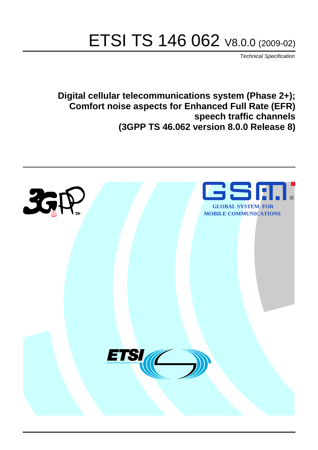# ETSI TS 146 062 V8.0.0 (2009-02)

*Technical Specification*

**Digital cellular telecommunications system (Phase 2+); Comfort noise aspects for Enhanced Full Rate (EFR) speech traffic channels (3GPP TS 46.062 version 8.0.0 Release 8)**

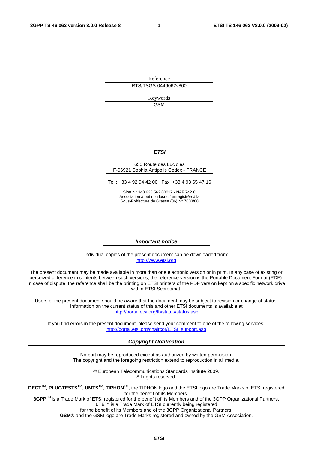Reference RTS/TSGS-0446062v800

> Keywords GSM

#### *ETSI*

#### 650 Route des Lucioles F-06921 Sophia Antipolis Cedex - FRANCE

Tel.: +33 4 92 94 42 00 Fax: +33 4 93 65 47 16

Siret N° 348 623 562 00017 - NAF 742 C Association à but non lucratif enregistrée à la Sous-Préfecture de Grasse (06) N° 7803/88

#### *Important notice*

Individual copies of the present document can be downloaded from: [http://www.etsi.org](http://www.etsi.org/)

The present document may be made available in more than one electronic version or in print. In any case of existing or perceived difference in contents between such versions, the reference version is the Portable Document Format (PDF). In case of dispute, the reference shall be the printing on ETSI printers of the PDF version kept on a specific network drive within ETSI Secretariat.

Users of the present document should be aware that the document may be subject to revision or change of status. Information on the current status of this and other ETSI documents is available at <http://portal.etsi.org/tb/status/status.asp>

If you find errors in the present document, please send your comment to one of the following services: [http://portal.etsi.org/chaircor/ETSI\\_support.asp](http://portal.etsi.org/chaircor/ETSI_support.asp)

#### *Copyright Notification*

No part may be reproduced except as authorized by written permission. The copyright and the foregoing restriction extend to reproduction in all media.

> © European Telecommunications Standards Institute 2009. All rights reserved.

**DECT**TM, **PLUGTESTS**TM, **UMTS**TM, **TIPHON**TM, the TIPHON logo and the ETSI logo are Trade Marks of ETSI registered for the benefit of its Members.

**3GPP**TM is a Trade Mark of ETSI registered for the benefit of its Members and of the 3GPP Organizational Partners. **LTE**™ is a Trade Mark of ETSI currently being registered

for the benefit of its Members and of the 3GPP Organizational Partners.

**GSM**® and the GSM logo are Trade Marks registered and owned by the GSM Association.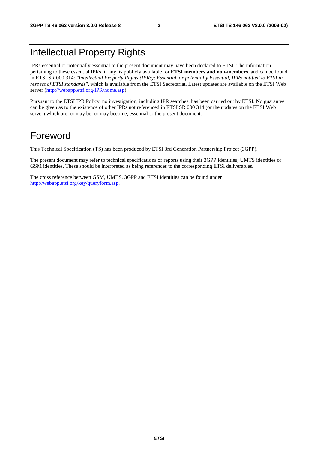### Intellectual Property Rights

IPRs essential or potentially essential to the present document may have been declared to ETSI. The information pertaining to these essential IPRs, if any, is publicly available for **ETSI members and non-members**, and can be found in ETSI SR 000 314: *"Intellectual Property Rights (IPRs); Essential, or potentially Essential, IPRs notified to ETSI in respect of ETSI standards"*, which is available from the ETSI Secretariat. Latest updates are available on the ETSI Web server ([http://webapp.etsi.org/IPR/home.asp\)](http://webapp.etsi.org/IPR/home.asp).

Pursuant to the ETSI IPR Policy, no investigation, including IPR searches, has been carried out by ETSI. No guarantee can be given as to the existence of other IPRs not referenced in ETSI SR 000 314 (or the updates on the ETSI Web server) which are, or may be, or may become, essential to the present document.

#### Foreword

This Technical Specification (TS) has been produced by ETSI 3rd Generation Partnership Project (3GPP).

The present document may refer to technical specifications or reports using their 3GPP identities, UMTS identities or GSM identities. These should be interpreted as being references to the corresponding ETSI deliverables.

The cross reference between GSM, UMTS, 3GPP and ETSI identities can be found under [http://webapp.etsi.org/key/queryform.asp.](http://webapp.etsi.org/key/queryform.asp)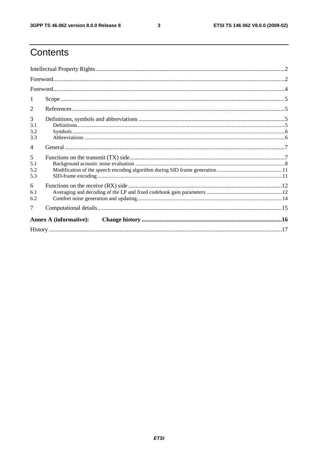$\mathbf{3}$ 

### Contents

| 1              |                               |  |
|----------------|-------------------------------|--|
| 2              |                               |  |
| 3              |                               |  |
| 3.1            |                               |  |
| 3.2            |                               |  |
| 3.3            |                               |  |
| $\overline{4}$ |                               |  |
| 5              |                               |  |
| 5.1            |                               |  |
| 5.2            |                               |  |
| 5.3            |                               |  |
| 6              |                               |  |
| 6.1            |                               |  |
| 6.2            |                               |  |
| 7              |                               |  |
|                | <b>Annex A (informative):</b> |  |
|                |                               |  |
|                |                               |  |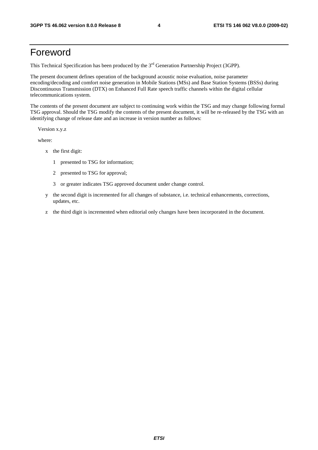#### Foreword

This Technical Specification has been produced by the 3<sup>rd</sup> Generation Partnership Project (3GPP).

The present document defines operation of the background acoustic noise evaluation, noise parameter encoding/decoding and comfort noise generation in Mobile Stations (MSs) and Base Station Systems (BSSs) during Discontinuous Transmission (DTX) on Enhanced Full Rate speech traffic channels within the digital cellular telecommunications system.

The contents of the present document are subject to continuing work within the TSG and may change following formal TSG approval. Should the TSG modify the contents of the present document, it will be re-released by the TSG with an identifying change of release date and an increase in version number as follows:

Version x.y.z

where:

- x the first digit:
	- 1 presented to TSG for information;
	- 2 presented to TSG for approval;
	- 3 or greater indicates TSG approved document under change control.
- y the second digit is incremented for all changes of substance, i.e. technical enhancements, corrections, updates, etc.
- z the third digit is incremented when editorial only changes have been incorporated in the document.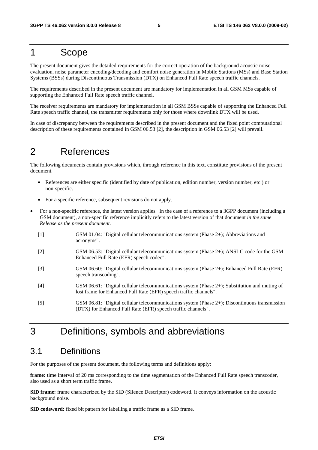### 1 Scope

The present document gives the detailed requirements for the correct operation of the background acoustic noise evaluation, noise parameter encoding/decoding and comfort noise generation in Mobile Stations (MSs) and Base Station Systems (BSSs) during Discontinuous Transmission (DTX) on Enhanced Full Rate speech traffic channels.

The requirements described in the present document are mandatory for implementation in all GSM MSs capable of supporting the Enhanced Full Rate speech traffic channel.

The receiver requirements are mandatory for implementation in all GSM BSSs capable of supporting the Enhanced Full Rate speech traffic channel, the transmitter requirements only for those where downlink DTX will be used.

In case of discrepancy between the requirements described in the present document and the fixed point computational description of these requirements contained in GSM 06.53 [2], the description in GSM 06.53 [2] will prevail.

#### 2 References

The following documents contain provisions which, through reference in this text, constitute provisions of the present document.

- References are either specific (identified by date of publication, edition number, version number, etc.) or non-specific.
- For a specific reference, subsequent revisions do not apply.
- For a non-specific reference, the latest version applies. In the case of a reference to a 3GPP document (including a GSM document), a non-specific reference implicitly refers to the latest version of that document *in the same Release as the present document*.
	- [1] GSM 01.04: "Digital cellular telecommunications system (Phase 2+); Abbreviations and acronyms".
	- [2] GSM 06.53: "Digital cellular telecommunications system (Phase 2+); ANSI-C code for the GSM Enhanced Full Rate (EFR) speech codec".
	- [3] GSM 06.60: "Digital cellular telecommunications system (Phase 2+); Enhanced Full Rate (EFR) speech transcoding".
	- [4] GSM 06.61: "Digital cellular telecommunications system (Phase 2+); Substitution and muting of lost frame for Enhanced Full Rate (EFR) speech traffic channels".
	- [5] GSM 06.81: "Digital cellular telecommunications system (Phase 2+); Discontinuous transmission (DTX) for Enhanced Full Rate (EFR) speech traffic channels".

### 3 Definitions, symbols and abbreviations

#### 3.1 Definitions

For the purposes of the present document, the following terms and definitions apply:

**frame:** time interval of 20 ms corresponding to the time segmentation of the Enhanced Full Rate speech transcoder, also used as a short term traffic frame.

**SID frame:** frame characterized by the SID (SIlence Descriptor) codeword. It conveys information on the acoustic background noise.

**SID codeword:** fixed bit pattern for labelling a traffic frame as a SID frame.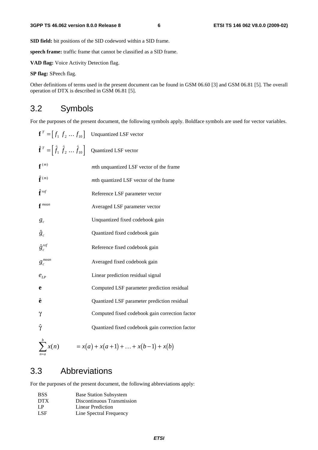**SID field:** bit positions of the SID codeword within a SID frame.

**speech frame:** traffic frame that cannot be classified as a SID frame.

**VAD flag:** Voice Activity Detection flag.

**SP flag:** SPeech flag.

Other definitions of terms used in the present document can be found in GSM 06.60 [3] and GSM 06.81 [5]. The overall operation of DTX is described in GSM 06.81 [5].

#### 3.2 Symbols

For the purposes of the present document, the following symbols apply. Boldface symbols are used for vector variables.

|                                                                  | $\mathbf{f}^T = [f_1 \, f_2 \, \dots \, f_{10}]$ Unquantized LSF vector |
|------------------------------------------------------------------|-------------------------------------------------------------------------|
| $\hat{\mathbf{f}}^T = [\hat{f}_1 \ \hat{f}_2 \  \ \hat{f}_{10}]$ | Quantized LSF vector                                                    |
| $f^{(m)}$                                                        | mth unquantized LSF vector of the frame                                 |
| $\hat{\mathbf{f}}^{(m)}$                                         | mth quantized LSF vector of the frame                                   |
| $\hat{\mathbf{f}}$ ref                                           | Reference LSF parameter vector                                          |
| $f$ <sup>mean</sup>                                              | Averaged LSF parameter vector                                           |
| $g_c$                                                            | Unquantized fixed codebook gain                                         |
| $\hat{g}_c$                                                      | Quantized fixed codebook gain                                           |
| $\hat{g}^{ref}_c$                                                | Reference fixed codebook gain                                           |
| $g_c^{mean}$                                                     | Averaged fixed codebook gain                                            |
| $e_{LP}$                                                         | Linear prediction residual signal                                       |
| e                                                                | Computed LSF parameter prediction residual                              |
| ê                                                                | Quantized LSF parameter prediction residual                             |
| $\gamma$                                                         | Computed fixed codebook gain correction factor                          |
| Ŷ                                                                | Quantized fixed codebook gain correction factor                         |
| $\sum^b x(n)$                                                    | $= x(a) + x(a+1) +  + x(b-1) + x(b)$                                    |

#### 3.3 Abbreviations

For the purposes of the present document, the following abbreviations apply:

| <b>BSS</b> | <b>Base Station Subsystem</b> |
|------------|-------------------------------|
| DTX        | Discontinuous Transmission    |
| LP         | Linear Prediction             |
| LSF        | Line Spectral Frequency       |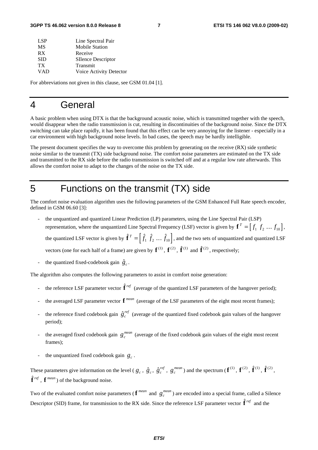| Line Spectral Pair        |
|---------------------------|
| <b>Mobile Station</b>     |
| Receive                   |
| <b>SIlence Descriptor</b> |
| Transmit                  |
| Voice Activity Detector   |
|                           |

For abbreviations not given in this clause, see GSM 01.04 [1].

#### 4 General

A basic problem when using DTX is that the background acoustic noise, which is transmitted together with the speech, would disappear when the radio transmission is cut, resulting in discontinuities of the background noise. Since the DTX switching can take place rapidly, it has been found that this effect can be very annoying for the listener - especially in a car environment with high background noise levels. In bad cases, the speech may be hardly intelligible.

The present document specifies the way to overcome this problem by generating on the receive (RX) side synthetic noise similar to the transmit (TX) side background noise. The comfort noise parameters are estimated on the TX side and transmitted to the RX side before the radio transmission is switched off and at a regular low rate afterwards. This allows the comfort noise to adapt to the changes of the noise on the TX side.

#### 5 Functions on the transmit (TX) side

The comfort noise evaluation algorithm uses the following parameters of the GSM Enhanced Full Rate speech encoder, defined in GSM 06.60 [3]:

- the unquantized and quantized Linear Prediction (LP) parameters, using the Line Spectral Pair (LSP) representation, where the unquantized Line Spectral Frequency (LSF) vector is given by  $\mathbf{f}^T = \begin{bmatrix} f_1 & f_2 & \dots & f_{10} \end{bmatrix}$ the unquantized and quantized Linear Prediction (LP) parameters, using the Line Spectral Pair (LSP)<br>representation, where the unquantized Line Spectral Frequency (LSF) vector is given by  $\mathbf{f}^T = [f_1 \, f_2 \, ... \, f_{10}]$ ,<br>th representation, where the unquantized Line Spectral Frequency (LSF) vec<br>the quantized LSF vector is given by  $\hat{\mathbf{f}}^T = \left[ \hat{f}_1 \hat{f}_2 \dots \hat{f}_{10} \right]$ , and the two<br>vectors (one for each half of a frame) are given by  $\mathbf{$  $\hat{\mathbf{f}}^{(2)}$ , respectively; the quantized LSF vector is given by **I**<br>vectors (one for each half of a frame) are<br>the quantized fixed-codebook gain  $\hat{g}_c$ .
- 

The algorithm also computes the following parameters to assist in comfort noise generation:

- the quantized fixed-codebook gain  $g_c$ .<br> **h** algorithm also computes the following parameters to assist in comfort noise generation:<br> **h** reference LSF parameter vector  $\hat{\mathbf{f}}^{ref}$  (average of the quantized LSF paramete
- the averaged LSF parameter vector  $f^{mean}$  (average of the LSF parameters of the eight most recent frames);
- the reference EST parameter vector  $f^{mean}$  (average of the LSF parameters of the eight most recent frames);<br>the reference fixed codebook gain  $\hat{g}^{ref}_c$  (average of the quantized fixed codebook gain values of the hangover period);
- the averaged fixed codebook gain  $g_c^{mean}$  (average of the fixed codebook gain values of the eight most recent frames);
- the unquantized fixed codebook gain  $g_c$ .

- the unquantized fixed codebook gain  $g_c$ .<br>These parameters give information on the level  $(g_c, \hat{g}_c, \hat{g}_c^{ref}, g_c^{mean})$  and the spectrum  $(\mathbf{f}^{(1)}, \mathbf{f}^{(2)}, \hat{\mathbf{f}}^{(1)}, \hat{\mathbf{f}}^{(2)},$ **f** *ref* , **f** *mean* ) of the background noise.

Two of the evaluated comfort noise parameters ( $f^{mean}$  and  $g_c^{mean}$ ) are encoded into a special frame, called a Silence  $\tilde{\mathbf{f}}^{ref}$ ,  $\mathbf{f}^{mean}$ ) of the background noise.<br>Two of the evaluated comfort noise parameters ( $\mathbf{f}^{mean}$  and  $g_c^{mean}$ ) are encoded into a special frame,<br>Descriptor (SID) frame, for transmission to the RX side. Sinc Descriptor (SID) frame, for transmission to the RX side. Since the reference LSF parameter vector  $\hat{\mathbf{f}}^{ref}$  and the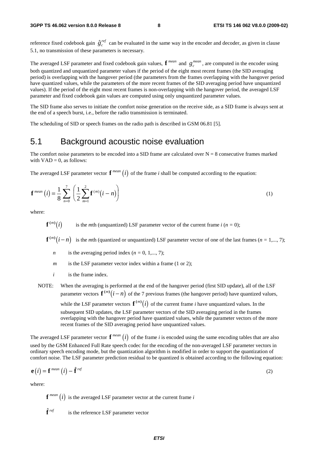3GPP TS 46.062 version 8.0.0 Release 8 **access 2 c** *f c* **c** *f c f c*<sup>*ref*</sup> can be evaluated in the same way in the encoder and decoder, as given in clause reference fixed codebook gain  $\hat{g}^{ref}_c$  c 5.1, no transmission of these parameters is necessary.

The averaged LSF parameter and fixed codebook gain values,  $f^{mean}$  and  $g_c^{mean}$ , are computed in the encoder using both quantized and unquantized parameter values if the period of the eight most recent frames (the SID averaging period) is overlapping with the hangover period (the parameters from the frames overlapping with the hangover period have quantized values, while the parameters of the more recent frames of the SID averaging period have unquantized values). If the period of the eight most recent frames is non-overlapping with the hangover period, the averaged LSF parameter and fixed codebook gain values are computed using only unquantized parameter values.

The SID frame also serves to initiate the comfort noise generation on the receive side, as a SID frame is always sent at the end of a speech burst, i.e., before the radio transmission is terminated.

The scheduling of SID or speech frames on the radio path is described in GSM 06.81 [5].

#### 5.1 Background acoustic noise evaluation

The comfort noise parameters to be encoded into a SID frame are calculated over  $N = 8$  consecutive frames marked with  $VAD = 0$ , as follows:

The averaged LSF parameter vector  $f^{mean}(i)$  of the frame *i* shall be computed according to the equation:

$$
\mathbf{f}^{mean}(i) = \frac{1}{8} \sum_{n=0}^{7} \left( \frac{1}{2} \sum_{m=1}^{2} \mathbf{f}^{(m)}(i-n) \right)
$$
(1)

where:

 $\mathbf{f}^{(m)}(i)$  is the *m*th (unquantized) LSF parameter vector of the current frame *i* (*n* = 0);

 $f^{(m)}(i-n)$  is the *m*th (quantized or unquantized) LSF parameter vector of one of the last frames (*n* = 1,..., 7);

- *n* is the averaging period index  $(n = 0, 1, \ldots, 7)$ ;
- *m* is the LSF parameter vector index within a frame (1 or 2);
- *i* is the frame index.

NOTE: When the averaging is performed at the end of the hangover period (first SID update), all of the LSF parameter vectors  $f^{(m)}(i - n)$  of the 7 previous frames (the hangover period) have quantized values, while the LSF parameter vectors  $f^{(m)}(i)$  of the current frame *i* have unquantized values. In the subsequent SID updates, the LSF parameter vectors of the SID averaging period in the frames overlapping with the hangover period have quantized values, while the parameter vectors of the more recent frames of the SID averaging period have unquantized values.

The averaged LSF parameter vector  $f^{mean}(i)$  of the frame *i* is encoded using the same encoding tables that are also used by the GSM Enhanced Full Rate speech codec for the encoding of the non-averaged LSF parameter vectors in ordinary speech encoding mode, but the quantization algorithm is modified in order to support the quantization of comfort noise. The LSF parameter prediction residual to be quantized is obtained according to the following equation: ased by the GSM Enhanced Full Kate speech codec for the encoding of the non-averaged LSF parameter vectors in ordinary speech encoding mode, but the quantization algorithm is modified in order to support the quantization

$$
\mathbf{e}(i) = \mathbf{f}^{mean}(i) - \hat{\mathbf{f}}^{ref} \tag{2}
$$

where:

 ${\bf f}^{mean}(i)$  is the averaged LSF parameter vector at the current frame *i* 

 $\hat{\mathbf{f}}$  ref is the reference LSF parameter vector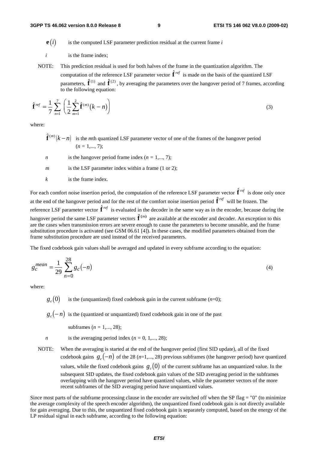- $\mathbf{e}(i)$  is the computed LSF parameter prediction residual at the current frame *i*
- *i* is the frame index;
- NOTE: This prediction residual is used for both halves of the frame in the quantization algorithm. The is the frame index;<br>This prediction residual is used for both halves of the frame in the quantization algorithm. The<br>computation of the reference LSF parameter vector  $\hat{\mathbf{f}}^{ref}$  is made on the basis of the quantized LS NOTE: This prediction residual is used for both halves of the frame in the quantization algorithm. The<br>computation of the reference LSF parameter vector  $\hat{\mathbf{f}}^{ref}$  is made on the basis of the quantized LSF<br>parameters, to the following equation:

$$
\hat{\mathbf{f}}^{ref} = \frac{1}{7} \sum_{n=1}^{7} \left( \frac{1}{2} \sum_{m=1}^{2} \hat{\mathbf{f}}^{(m)}(k-n) \right)
$$
\nwhere:

\n
$$
\hat{\mathbf{f}}^{(m)}(k-n) \quad \text{is the } m\text{th quantized LSF parameter vector of one of the frames of the hangover period}
$$
\n(3)

where:

- $(n = 1, \ldots, 7);$
- *n* is the hangover period frame index  $(n = 1, \ldots, 7)$ ;
- *m* is the LSF parameter index within a frame (1 or 2):
- *k* is the frame index.

*m* is the LSF parameter index within a frame (1 or 2);<br> *k* is the frame index.<br>
For each comfort noise insertion period, the computation of the reference LSF parameter vector  $\hat{\mathbf{f}}^{ref}$  is done only once 4 is the frame index.<br>For each comfort noise insertion period, the computation of the reference LSF parameters at the end of the hangover period and for the rest of the comfort noise insertion period  $\hat{\mathbf{f}}$ at the end of the hangover period and for the rest of the comfort noise insertion period  $\hat{\mathbf{f}}^{ref}$  will be frozen. The For each comfort noise insertion  $\mu$  at the end of the hangover period reference LSF parameter vector  $\hat{\mathbf{f}}$ **f** reference LSF parameter vector  $\hat{\mathbf{f}}^{ref}$  is evaluated in the decoder in the same way as in the encoder, because during the For each comfort noise insertion period, the computation of the reference LSF parameter vector  $\mathbf{I}^*$  is done only one at the end of the hangover period and for the rest of the comfort noise insertion period  $\hat{\mathbf{f}}$ are the cases when transmission errors are severe enough to cause the parameters to become unusable, and the frame substitution procedure is activated (see GSM 06.61 [4]). In these cases, the modified parameters obtained from the frame substitution procedure are used instead of the received parameters.

The fixed codebook gain values shall be averaged and updated in every subframe according to the equation:

$$
g_c^{mean} = \frac{1}{29} \sum_{n=0}^{28} g_c(-n)
$$
 (4)

where:

 $g<sub>a</sub>(0)$  is the (unquantized) fixed codebook gain in the current subframe  $(n=0)$ ;

 $g_c(-n)$  is the (quantized or unquantized) fixed codebook gain in one of the past

subframes (*n =* 1,..., 28);

- *n* is the averaging period index  $(n = 0, 1, \ldots, 28)$ ;
- NOTE: When the averaging is started at the end of the hangover period (first SID update), all of the fixed codebook gains  $g_c(-n)$  of the 28 ( $n=1,\ldots, 28$ ) previous subframes (the hangover period) have quantized values, while the fixed codebook gains  $g_c(0)$  of the current subframe has an unquantized value. In the subsequent SID updates, the fixed codebook gain values of the SID averaging period in the subframes overlapping with the hangover period have quantized values, while the parameter vectors of the more recent subframes of the SID averaging period have unquantized values.

Since most parts of the subframe processing clause in the encoder are switched off when the SP flag  $=$  "0" (to minimize the average complexity of the speech encoder algorithm), the unquantized fixed codebook gain is not directly available for gain averaging. Due to this, the unquantized fixed codebook gain is separately computed, based on the energy of the LP residual signal in each subframe, according to the following equation: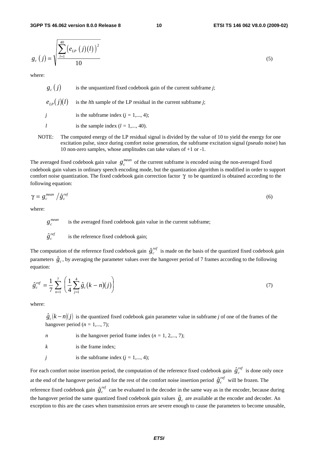**3GPP TS 46.062 version 8.0.0 Release 8 10 ETSI TS 146 062 V8.0.0 (2009-02)**

$$
g_c(j) = \sqrt{\frac{\sum_{l=1}^{40} (e_{LP}(j)(l))^2}{10}}
$$
 (5)

where:

 $g_c(j)$  is the unquantized fixed codebook gain of the current subframe *j*;  $e_{i,p}(j)(l)$  is the *l*th sample of the LP residual in the current subframe *j*; *j* is the subframe index  $(j = 1, ..., 4)$ ;

NOTE: The computed energy of the LP residual signal is divided by the value of 10 to yield the energy for one excitation pulse, since during comfort noise generation, the subframe excitation signal (pseudo noise) has 10 non-zero samples, whose amplitudes can take values of +1 or -1.

The averaged fixed codebook gain value  $g_c^{mean}$  of the current subframe is encoded using the non-averaged fixed codebook gain values in ordinary speech encoding mode, but the quantization algorithm is modified in order to support comfort noise quantization. The fixed codebook gain correction factor  $\gamma$  to be quantized is obtained according to the following equation:<br>*following equation*:<br> $\gamma = g_c^{mean} / \hat{g}_c^{ref}$  (6) following equation:

$$
\gamma = g_c^{\text{mean}} / \hat{g}_c^{\text{ref}} \tag{6}
$$

where:

 $g_c^{mean}$ is the averaged fixed codebook gain value in the current subframe;

 $g_c^n$ <br> $\hat{g}_c^n$  $\hat{g}^{\text{ref}}_{\text{a}}$  is the reference fixed codebook gain;

*l* is the sample index  $(l = 1, ..., 40)$ .

 $\hat{g}_c^{ref}$  is the reference fixed codebook gain;<br>The computation of the reference fixed codebook gain  $\hat{g}_c^{ref}$  is made on the basis of the quantized fixed codebook gain *g*<sup>ter</sup> is the reference fixed codebook gain;<br>The computation of the reference fixed codebook gain  $\hat{g}_c^{ref}$  is made on the basis of the quantized fixed codebook gain parameters  $\hat{g}_c$ , by averaging the parameter val equation:

equation:  
\n
$$
\hat{g}_c^{ref} = \frac{1}{7} \sum_{n=1}^7 \left( \frac{1}{4} \sum_{j=1}^4 \hat{g}_c (k - n)(j) \right)
$$
\n(7)

where:

 $\hat{g}_c (k - n)(j)$  is the quantized fixed codebook gain parameter value in subframe *j* of one of the frames of the hangover period ( $n = 1,..., 7$ );

- *n* is the hangover period frame index  $(n = 1, 2, \ldots, 7)$ ;
- *k* is the frame index;
- *j* is the subframe index  $(j = 1, ..., 4)$ ;

For each comfort noise insertion period, the computation of the reference fixed codebook gain  $\hat{g}^{ref}_c$  is done only once *i* is the subframe index  $(j = 1,..., 4)$ ;<br>For each comfort noise insertion period, the computation of the reference fixed codebook at the end of the hangover period and for the rest of the comfort noise insertion period  $\hat{$ at the end of the hangover period and for the rest of the comfort noise insertion period  $\hat{g}^{ref}$  will be frozen. The For each comfort noise insertion p<br>at the end of the hangover period *i*<br>reference fixed codebook gain  $\hat{g}_c^r$ *ref* can be evaluated in the decoder in the same way as in the encoder, because during at the end of the hangover period and for the rest of the comfort noise insertion period  $\hat{g}_c^{ref}$  will be frozen. The reference fixed codebook gain  $\hat{g}_c^{ref}$  can be evaluated in the decoder in the same way as in the exception to this are the cases when transmission errors are severe enough to cause the parameters to become unusable,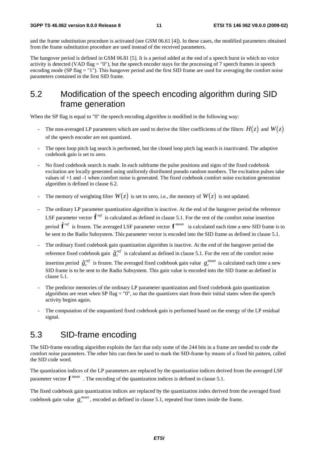and the frame substitution procedure is activated (see GSM 06.61 [4]). In these cases, the modified parameters obtained from the frame substitution procedure are used instead of the received parameters.

The hangover period is defined in GSM 06.81 [5]. It is a period added at the end of a speech burst in which no voice activity is detected (VAD flag = "0"), but the speech encoder stays for the processing of 7 speech frames in speech encoding mode (SP flag = "1"). This hangover period and the first SID frame are used for averaging the comfort noise parameters contained in the first SID frame.

#### 5.2 Modification of the speech encoding algorithm during SID frame generation

When the SP flag is equal to "0" the speech encoding algorithm is modified in the following way:

- The non-averaged LP parameters which are used to derive the filter coefficients of the filters  $H(z)$  and  $W(z)$ of the speech encoder are not quantized.
- The open loop pitch lag search is performed, but the closed loop pitch lag search is inactivated. The adaptive codebook gain is set to zero.
- No fixed codebook search is made. In each subframe the pulse positions and signs of the fixed codebook excitation are locally generated using uniformly distributed pseudo random numbers. The excitation pulses take values of +1 and -1 when comfort noise is generated. The fixed codebook comfort noise excitation generation algorithm is defined in clause 6.2.
- The memory of weighting filter  $W(z)$  is set to zero, i.e., the memory of  $W(z)$  is not updated.
- The ordinary LP parameter quantization algorithm is inactive. At the end of the hangover period the reference The memory of weighting filter  $W(z)$  is set to zero, i.e., the memory of  $W(z)$  is not updated.<br>The ordinary LP parameter quantization algorithm is inactive. At the end of the hangover period the referent LSF parameter vec The ordi<br>LSF para<br>period  $\hat{\mathbf{f}}$ **f** *ref* is frozen. The averaged LSF parameter vector **f** *mean* is calculated each time a new SID frame is to be sent to the Radio Subsystem. This parameter vector is encoded into the SID frame as defined in clause 5.1.
- The ordinary fixed codebook gain quantization algorithm is inactive. At the end of the hangover period the be sent to the Radio Subsystem. This parameter vector is encoded into the SID frame as defined in clause 5.<br>The ordinary fixed codebook gain quantization algorithm is inactive. At the end of the hangover period the refere The ordinary fixed codebook gain quantization algorithm is inactive. At the end of the hangover period the reference fixed codebook gain  $\hat{g}_c^{ref}$  is calculated as defined in clause 5.1. For the rest of the comfort nois SID frame is to be sent to the Radio Subsystem. This gain value is encoded into the SID frame as defined in clause 5.1.
- The predictor memories of the ordinary LP parameter quantization and fixed codebook gain quantization algorithms are reset when SP flag =  $"0"$ , so that the quantizers start from their initial states when the speech activity begins again.
- The computation of the unquantized fixed codebook gain is performed based on the energy of the LP residual signal.

#### 5.3 SID-frame encoding

The SID-frame encoding algorithm exploits the fact that only some of the 244 bits in a frame are needed to code the comfort noise parameters. The other bits can then be used to mark the SID-frame by means of a fixed bit pattern, called the SID code word.

The quantization indices of the LP parameters are replaced by the quantization indices derived from the averaged LSF parameter vector **f** *mean* . The encoding of the quantization indices is defined in clause 5.1.

The fixed codebook gain quantization indices are replaced by the quantization index derived from the averaged fixed codebook gain value  $g_c^{mean}$ , encoded as defined in clause 5.1, repeated four times inside the frame.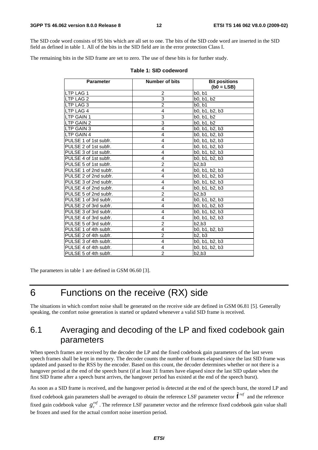The SID code word consists of 95 bits which are all set to one. The bits of the SID code word are inserted in the SID field as defined in table 1. All of the bits in the SID field are in the error protection Class I.

The remaining bits in the SID frame are set to zero. The use of these bits is for further study.

| <b>Parameter</b>      | Number of bits | <b>Bit positions</b><br>$(b0 = LSB)$ |
|-----------------------|----------------|--------------------------------------|
| <b>LTP LAG 1</b>      | 2              | b0, b1                               |
| <b>LTP LAG 2</b>      | 3              | b0, b1, b2                           |
| LTP LAG 3             | $\overline{2}$ | b0, b1                               |
| <b>LTP LAG 4</b>      | 4              | b0, b1, b2, b3                       |
| <b>ILTP GAIN 1</b>    | 3              | b0, b1, b2                           |
| LTP GAIN 2            | 3              | b0, b1, b2                           |
| LTP GAIN 3            | 4              | b0, b1, b2, b3                       |
| LTP GAIN 4            | 4              | b0, b1, b2, b3                       |
| PULSE 1 of 1st subfr. | 4              | b0, b1, b2, b3                       |
| PULSE 2 of 1st subfr. | 4              | b0, b1, b2, b3                       |
| PULSE 3 of 1st subfr. | 4              | b0, b1, b2, b3                       |
| PULSE 4 of 1st subfr. | 4              | b0, b1, b2, b3                       |
| PULSE 5 of 1st subfr. | $\overline{c}$ | b2,b3                                |
| PULSE 1 of 2nd subfr. | 4              | b0, b1, b2, b3                       |
| PULSE 2 of 2nd subfr. | 4              | b0, b1, b2, b3                       |
| PULSE 3 of 2nd subfr. | 4              | b0, b1, b2, b3                       |
| PULSE 4 of 2nd subfr. | 4              | b0, b1, b2, b3                       |
| PULSE 5 of 2nd subfr. | $\overline{2}$ | b2.b3                                |
| PULSE 1 of 3rd subfr. | 4              | b0, b1, b2, b3                       |
| PULSE 2 of 3rd subfr. | 4              | b0, b1, b2, b3                       |
| PULSE 3 of 3rd subfr. | 4              | b0, b1, b2, b3                       |
| PULSE 4 of 3rd subfr. | 4              | b0, b1, b2, b3                       |
| PULSE 5 of 3rd subfr. | $\overline{c}$ | b2.b3                                |
| PULSE 1 of 4th subfr. | 4              | b0, b1, b2, b3                       |
| PULSE 2 of 4th subfr. | $\overline{c}$ | b2, b3                               |
| PULSE 3 of 4th subfr. | 4              | b0, b1, b2, b3                       |
| PULSE 4 of 4th subfr. | 4              | b0, b1, b2, b3                       |
| PULSE 5 of 4th subfr. | $\overline{2}$ | b2,b3                                |

#### **Table 1: SID codeword**

The parameters in table 1 are defined in GSM 06.60 [3].

### 6 Functions on the receive (RX) side

The situations in which comfort noise shall be generated on the receive side are defined in GSM 06.81 [5]. Generally speaking, the comfort noise generation is started or updated whenever a valid SID frame is received.

#### 6.1 Averaging and decoding of the LP and fixed codebook gain parameters

When speech frames are received by the decoder the LP and the fixed codebook gain parameters of the last seven speech frames shall be kept in memory. The decoder counts the number of frames elapsed since the last SID frame was updated and passed to the RSS by the encoder. Based on this count, the decoder determines whether or not there is a hangover period at the end of the speech burst (if at least 31 frames have elapsed since the last SID update when the first SID frame after a speech burst arrives, the hangover period has existed at the end of the speech burst).

As soon as a SID frame is received, and the hangover period is detected at the end of the speech burst, the stored LP and hangover period at the end of the speech burst (if at least 31 frames have elapsed since the last SID update when the first SID frame after a speech burst arrives, the hangover period has existed at the end of the speech fixed gain codebook value  $g_c^{ref}$ . The reference LSF parameter vector and the reference fixed codebook gain value shall be frozen and used for the actual comfort noise insertion period.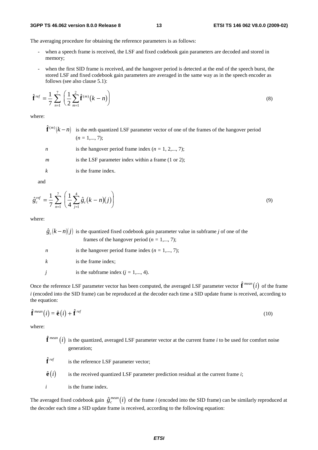#### **3GPP TS 46.062 version 8.0.0 Release 8 13 ETSI TS 146 062 V8.0.0 (2009-02)**

The averaging procedure for obtaining the reference parameters is as follows:

- when a speech frame is received, the LSF and fixed codebook gain parameters are decoded and stored in memory;
- when the first SID frame is received, and the hangover period is detected at the end of the speech burst, the stored LSF and fixed codebook gain parameters are averaged in the same way as in the speech encoder as follows (see also clause 5.1):<br>  $\hat{\mathbf{f}}^{\text{ref}} = \frac{1}{2} \sum_{n=1}^{\infty} \left( \frac{1}{n} \sum_{n=1}^{n} \hat{\mathbf{f}}^{(m)}(k - n) \right)$  (8) follows (see also clause 5.1):

$$
\hat{\mathbf{f}}^{ref} = \frac{1}{7} \sum_{n=1}^{7} \left( \frac{1}{2} \sum_{m=1}^{2} \hat{\mathbf{f}}^{(m)}(k-n) \right)
$$
\nwhere:

\n
$$
\hat{\mathbf{f}}^{(m)}(k-n) \quad \text{is the } m\text{th quantized LSF parameter vector of one of the frames of the hangover period}
$$
\n(8)

where:

- $(n = 1, \ldots, 7)$ :
- *n* is the hangover period frame index  $(n = 1, 2,..., 7)$ ;
- *m* is the LSF parameter index within a frame (1 or 2);
- *k* is the frame index.

and

and  
\n
$$
\hat{g}_c^{ref} = \frac{1}{7} \sum_{n=1}^{7} \left( \frac{1}{4} \sum_{j=1}^{4} \hat{g}_c (k - n)(j) \right)
$$
\n(9)

|        | $n=1$ $1$        |                                                                                                                                                        |
|--------|------------------|--------------------------------------------------------------------------------------------------------------------------------------------------------|
| where: |                  |                                                                                                                                                        |
|        |                  | $\hat{g}_c(k-n)(j)$ is the quantized fixed codebook gain parameter value in subframe j of one of the<br>frames of the hangover period ( $n = 1,, 7$ ); |
|        | $\boldsymbol{n}$ | is the hangover period frame index ( $n = 1, \dots, 7$ );                                                                                              |
|        | k                | is the frame index;                                                                                                                                    |
|        | Ť                | is the subframe index $(j = 1, , 4)$ .                                                                                                                 |
|        |                  | Once the reference LSF parameter vector has been computed, the averaged LSF parameter vector $\hat{\bf f}^{mean}(i)$ of the frame                      |

*i* (encoded into the SID frame) can be reproduced at the decoder each time a SID update frame is received, according to the equation: (i) of the first of the SID frame) can be reproduced at the decoder each time a SID update frame is received, accord<br>the equation:<br> $\hat{\mathbf{f}}^{mean}(i) = \hat{\mathbf{e}}(i) + \hat{\mathbf{f}}^{ref}$  (10)

$$
\hat{\mathbf{f}}^{\text{mean}}(i) = \hat{\mathbf{e}}(i) + \hat{\mathbf{f}}^{\text{ref}} \tag{10}
$$

where:

- $\hat{\mathbf{f}}^{mean}(i)$  is the quantized, averaged LSF parameter vector at the current frame *i* to be used for comfort noise generation;
- $\hat{\mathbf{f}}$  ref is the reference LSF parameter vector;
- $\hat{\mathbf{e}}(i)$  is the received quantized LSF parameter prediction residual at the current frame *i*;
- *i* is the frame index.

The averaged fixed codebook gain  $\hat{g}_c^{mean}(i)$  of the frame *i* (encoded into the SID frame) can be similarly reproduced at the decoder each time a SID update frame is received, according to the following equation: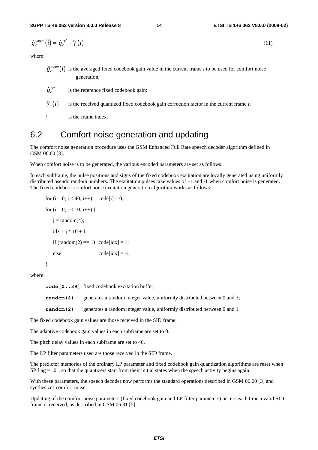3GPP TS 46.062 version 8.0.0 Release 8 ETSI TS 146 062 V8.0.0 (20)  
\n
$$
\hat{g}_c^{mean} (i) = \hat{g}_c^{ref} \cdot \hat{\gamma} (i)
$$
\n(11)

where:

- $\hat{g}_c^{mean}(i)$  is the averaged fixed codebook gain value in the current frame *i* to be used for comfort noise generation;  $\hat{\hat{g}}_c^r$ <br> $\hat{\hat{g}}_c^r$
- $\hat{g}^{ref}_{c}$  is the reference fixed codebook gain;
- $\hat{\gamma}$  (*i*) is the received quantized fixed codebook gain correction factor in the current frame *i*;
- *i* is the frame index.

#### 6.2 Comfort noise generation and updating

The comfort noise generation procedure uses the GSM Enhanced Full Rate speech decoder algorithm defined in GSM 06.60 [3].

When comfort noise is to be generated, the various encoded parameters are set as follows:

In each subframe, the pulse positions and signs of the fixed codebook excitation are locally generated using uniformly distributed pseudo random numbers. The excitation pulses take values of +1 and -1 when comfort noise is generated. The fixed codebook comfort noise excitation generation algorithm works as follows:

```
for (i = 0; i < 40; i++) code[i] = 0;
for (i = 0; i < 10; i++) {
   i = \text{random}(4);
   idx = i * 10 + I;if (random(2) == 1) code[idx] = 1;
   else \qquad \qquad code[idx] = -1; }
```

```
where:
```

|           | $code[039]$ fixed codebook excitation buffer;                            |
|-----------|--------------------------------------------------------------------------|
| random(4) | generates a random integer value, uniformly distributed between 0 and 3; |
| random(2) | generates a random integer value, uniformly distributed between 0 and 1. |

The fixed codebook gain values are those received in the SID frame.

The adaptive codebook gain values in each subframe are set to 0.

The pitch delay values in each subframe are set to 40.

The LP filter parameters used are those received in the SID frame.

The predictor memories of the ordinary LP parameter and fixed codebook gain quantization algorithms are reset when SP flag = "0", so that the quantizers start from their initial states when the speech activity begins again.

With these parameters, the speech decoder now performs the standard operations described in GSM 06.60 [3] and synthesizes comfort noise.

Updating of the comfort noise parameters (fixed codebook gain and LP filter parameters) occurs each time a valid SID frame is received, as described in GSM 06.81 [5].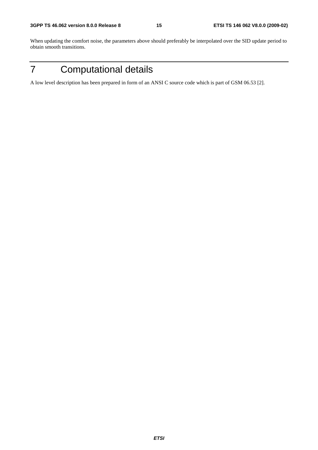When updating the comfort noise, the parameters above should preferably be interpolated over the SID update period to obtain smooth transitions.

7 Computational details

A low level description has been prepared in form of an ANSI C source code which is part of GSM 06.53 [2].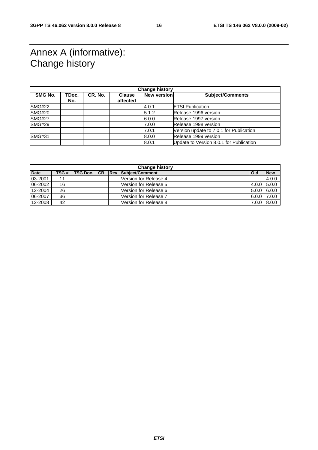### Annex A (informative): Change history

| <b>Change history</b> |              |         |                           |             |                                         |
|-----------------------|--------------|---------|---------------------------|-------------|-----------------------------------------|
| <b>SMG No.</b>        | TDoc.<br>No. | CR. No. | <b>Clause</b><br>affected | New version | <b>Subject/Comments</b>                 |
| SMG#22                |              |         |                           | 4.0.1       | <b>ETSI Publication</b>                 |
| <b>SMG#20</b>         |              |         |                           | 5.1.2       | Release 1996 version                    |
| <b>SMG#27</b>         |              |         |                           | 6.0.0       | Release 1997 version                    |
| <b>SMG#29</b>         |              |         |                           | 7.0.0       | Release 1998 version                    |
|                       |              |         |                           | 7.0.1       | Version update to 7.0.1 for Publication |
| <b>SMG#31</b>         |              |         |                           | 8.0.0       | Release 1999 version                    |
|                       |              |         |                           | 8.0.1       | Update to Version 8.0.1 for Publication |

| <b>Change history</b> |      |                 |    |  |                            |              |            |
|-----------------------|------|-----------------|----|--|----------------------------|--------------|------------|
| <b>Date</b>           | TSG# | <b>TSG Doc.</b> | CR |  | <b>Rev Subject/Comment</b> | <b>l</b> Old | <b>New</b> |
| 03-2001               | 11   |                 |    |  | Version for Release 4      |              | 4.0.0      |
| 06-2002               | 16   |                 |    |  | Version for Release 5      | 4.0.0        | 5.0.0      |
| 12-2004               | 26   |                 |    |  | Version for Release 6      | 5.0.0        | 6.0.0      |
| 06-2007               | 36   |                 |    |  | Version for Release 7      | 6.0.0        | 7.0.0      |
| 12-2008               | 42   |                 |    |  | Version for Release 8      | 7.0.0        | 8.0.0      |